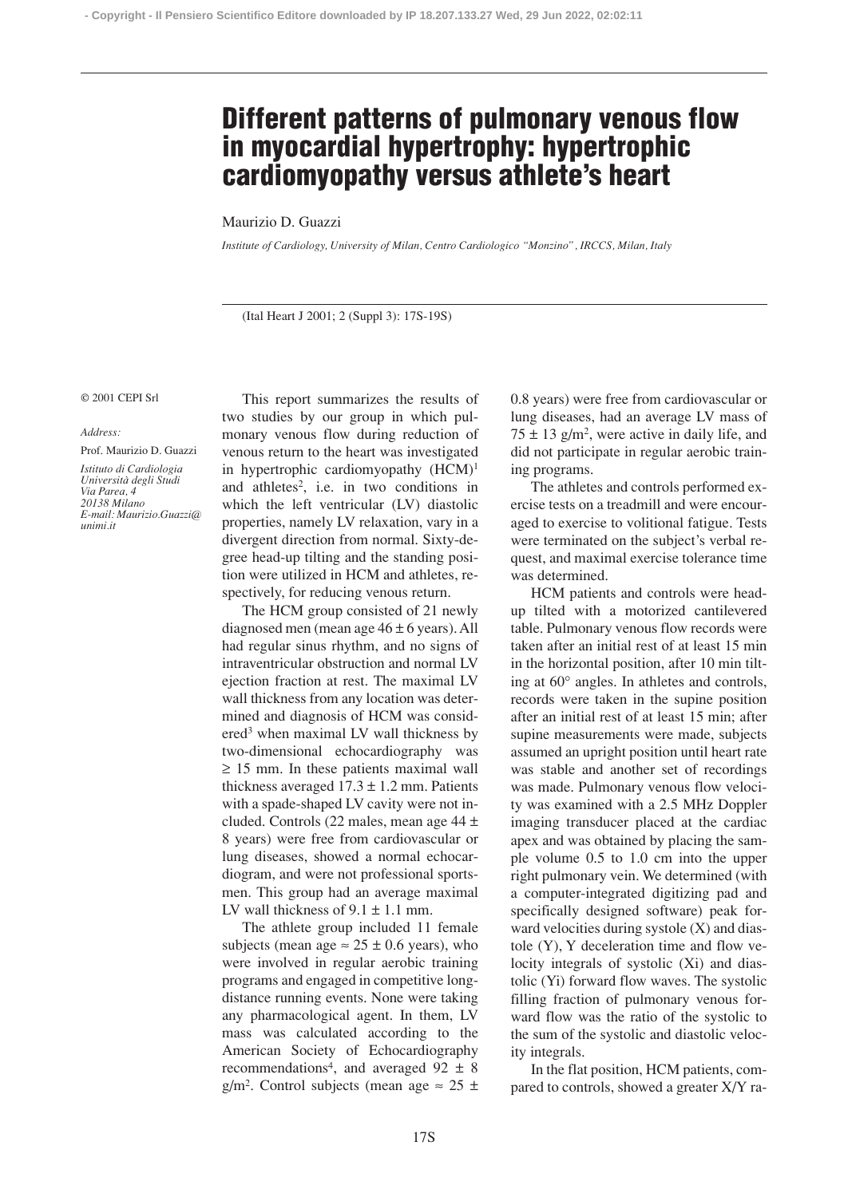# **Different patterns of pulmonary venous flow in myocardial hypertrophy: hypertrophic cardiomyopathy versus athlete's heart**

# Maurizio D. Guazzi

*Institute of Cardiology, University of Milan, Centro Cardiologico "Monzino", IRCCS, Milan, Italy*

(Ital Heart J 2001; 2 (Suppl 3): 17S-19S)

## © 2001 CEPI Srl

#### *Address:*

*unimi.it*

Prof. Maurizio D. Guazzi *Istituto di Cardiologia Università degli Studi Via Parea, 4 20138 Milano E-mail: Maurizio.Guazzi@*

This report summarizes the results of two studies by our group in which pulmonary venous flow during reduction of venous return to the heart was investigated in hypertrophic cardiomyopathy (HCM)<sup>1</sup> and athletes2, i.e. in two conditions in which the left ventricular (LV) diastolic properties, namely LV relaxation, vary in a divergent direction from normal. Sixty-degree head-up tilting and the standing position were utilized in HCM and athletes, respectively, for reducing venous return.

The HCM group consisted of 21 newly diagnosed men (mean age  $46 \pm 6$  years). All had regular sinus rhythm, and no signs of intraventricular obstruction and normal LV ejection fraction at rest. The maximal LV wall thickness from any location was determined and diagnosis of HCM was considered<sup>3</sup> when maximal LV wall thickness by two-dimensional echocardiography was  $\geq$  15 mm. In these patients maximal wall thickness averaged  $17.3 \pm 1.2$  mm. Patients with a spade-shaped LV cavity were not included. Controls (22 males, mean age 44 ± 8 years) were free from cardiovascular or lung diseases, showed a normal echocardiogram, and were not professional sportsmen. This group had an average maximal LV wall thickness of  $9.1 \pm 1.1$  mm.

The athlete group included 11 female subjects (mean age  $\approx 25 \pm 0.6$  years), who were involved in regular aerobic training programs and engaged in competitive longdistance running events. None were taking any pharmacological agent. In them, LV mass was calculated according to the American Society of Echocardiography recommendations<sup>4</sup>, and averaged  $92 \pm 8$ g/m<sup>2</sup>. Control subjects (mean age  $\approx 25 \pm$  0.8 years) were free from cardiovascular or lung diseases, had an average LV mass of  $75 \pm 13$  g/m<sup>2</sup>, were active in daily life, and did not participate in regular aerobic training programs.

The athletes and controls performed exercise tests on a treadmill and were encouraged to exercise to volitional fatigue. Tests were terminated on the subject's verbal request, and maximal exercise tolerance time was determined.

HCM patients and controls were headup tilted with a motorized cantilevered table. Pulmonary venous flow records were taken after an initial rest of at least 15 min in the horizontal position, after 10 min tilting at 60° angles. In athletes and controls, records were taken in the supine position after an initial rest of at least 15 min; after supine measurements were made, subjects assumed an upright position until heart rate was stable and another set of recordings was made. Pulmonary venous flow velocity was examined with a 2.5 MHz Doppler imaging transducer placed at the cardiac apex and was obtained by placing the sample volume 0.5 to 1.0 cm into the upper right pulmonary vein. We determined (with a computer-integrated digitizing pad and specifically designed software) peak forward velocities during systole (X) and diastole (Y), Y deceleration time and flow velocity integrals of systolic (Xi) and diastolic (Yi) forward flow waves. The systolic filling fraction of pulmonary venous forward flow was the ratio of the systolic to the sum of the systolic and diastolic velocity integrals.

In the flat position, HCM patients, compared to controls, showed a greater X/Y ra-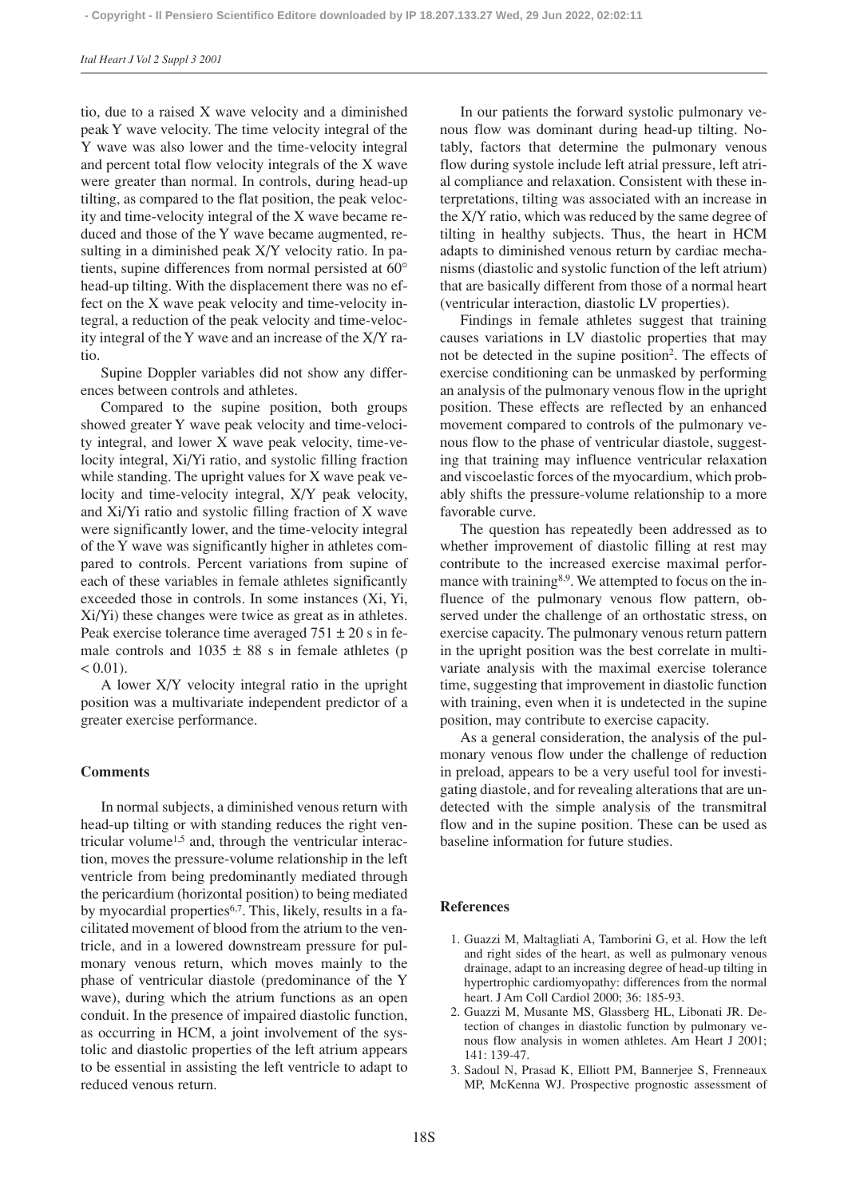## *Ital Heart J Vol 2 Suppl 3 2001*

tio, due to a raised X wave velocity and a diminished peak Y wave velocity. The time velocity integral of the Y wave was also lower and the time-velocity integral and percent total flow velocity integrals of the X wave were greater than normal. In controls, during head-up tilting, as compared to the flat position, the peak velocity and time-velocity integral of the X wave became reduced and those of the Y wave became augmented, resulting in a diminished peak X/Y velocity ratio. In patients, supine differences from normal persisted at 60° head-up tilting. With the displacement there was no effect on the X wave peak velocity and time-velocity integral, a reduction of the peak velocity and time-velocity integral of the Y wave and an increase of the X/Y ratio.

Supine Doppler variables did not show any differences between controls and athletes.

Compared to the supine position, both groups showed greater Y wave peak velocity and time-velocity integral, and lower X wave peak velocity, time-velocity integral, Xi/Yi ratio, and systolic filling fraction while standing. The upright values for X wave peak velocity and time-velocity integral, X/Y peak velocity, and Xi/Yi ratio and systolic filling fraction of X wave were significantly lower, and the time-velocity integral of the Y wave was significantly higher in athletes compared to controls. Percent variations from supine of each of these variables in female athletes significantly exceeded those in controls. In some instances (Xi, Yi, Xi/Yi) these changes were twice as great as in athletes. Peak exercise tolerance time averaged  $751 \pm 20$  s in female controls and  $1035 \pm 88$  s in female athletes (p  $< 0.01$ ).

A lower X/Y velocity integral ratio in the upright position was a multivariate independent predictor of a greater exercise performance.

# **Comments**

In normal subjects, a diminished venous return with head-up tilting or with standing reduces the right ventricular volume<sup>1,5</sup> and, through the ventricular interaction, moves the pressure-volume relationship in the left ventricle from being predominantly mediated through the pericardium (horizontal position) to being mediated by myocardial properties<sup>6,7</sup>. This, likely, results in a facilitated movement of blood from the atrium to the ventricle, and in a lowered downstream pressure for pulmonary venous return, which moves mainly to the phase of ventricular diastole (predominance of the Y wave), during which the atrium functions as an open conduit. In the presence of impaired diastolic function, as occurring in HCM, a joint involvement of the systolic and diastolic properties of the left atrium appears to be essential in assisting the left ventricle to adapt to reduced venous return.

In our patients the forward systolic pulmonary venous flow was dominant during head-up tilting. Notably, factors that determine the pulmonary venous flow during systole include left atrial pressure, left atrial compliance and relaxation. Consistent with these interpretations, tilting was associated with an increase in the X/Y ratio, which was reduced by the same degree of tilting in healthy subjects. Thus, the heart in HCM adapts to diminished venous return by cardiac mechanisms (diastolic and systolic function of the left atrium) that are basically different from those of a normal heart (ventricular interaction, diastolic LV properties).

Findings in female athletes suggest that training causes variations in LV diastolic properties that may not be detected in the supine position2. The effects of exercise conditioning can be unmasked by performing an analysis of the pulmonary venous flow in the upright position. These effects are reflected by an enhanced movement compared to controls of the pulmonary venous flow to the phase of ventricular diastole, suggesting that training may influence ventricular relaxation and viscoelastic forces of the myocardium, which probably shifts the pressure-volume relationship to a more favorable curve.

The question has repeatedly been addressed as to whether improvement of diastolic filling at rest may contribute to the increased exercise maximal performance with training<sup>8,9</sup>. We attempted to focus on the influence of the pulmonary venous flow pattern, observed under the challenge of an orthostatic stress, on exercise capacity. The pulmonary venous return pattern in the upright position was the best correlate in multivariate analysis with the maximal exercise tolerance time, suggesting that improvement in diastolic function with training, even when it is undetected in the supine position, may contribute to exercise capacity.

As a general consideration, the analysis of the pulmonary venous flow under the challenge of reduction in preload, appears to be a very useful tool for investigating diastole, and for revealing alterations that are undetected with the simple analysis of the transmitral flow and in the supine position. These can be used as baseline information for future studies.

## **References**

- 1. Guazzi M, Maltagliati A, Tamborini G, et al. How the left and right sides of the heart, as well as pulmonary venous drainage, adapt to an increasing degree of head-up tilting in hypertrophic cardiomyopathy: differences from the normal heart. J Am Coll Cardiol 2000; 36: 185-93.
- 2. Guazzi M, Musante MS, Glassberg HL, Libonati JR. Detection of changes in diastolic function by pulmonary venous flow analysis in women athletes. Am Heart J 2001; 141: 139-47.
- 3. Sadoul N, Prasad K, Elliott PM, Bannerjee S, Frenneaux MP, McKenna WJ. Prospective prognostic assessment of